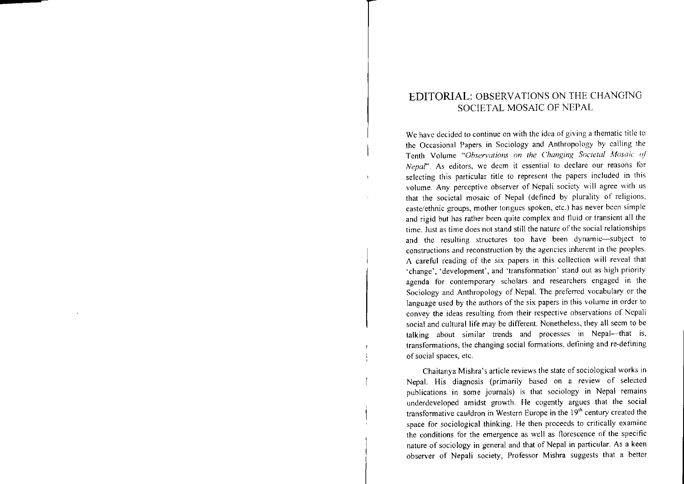## EDITORIAL: OBSERVATIONS ON THE CHANGING SOCIETAL MOSAIC OF NEPAL

We have decided to continue on with the idea of giving <sup>a</sup> thematic title to the Occasional Papers in Sociology and Anthropology by calling the Tenth Volume *"Observations on the Changing Societal Alosaic of Nepar'.* As editors, we deem it essential to declare our reasons for selecting this particular title to represen<sup>t</sup> the papers included in this volume. Any perceptive observer of Nepali society will agree with us that the societal mosaic of Nepal (defined by plurality of religions, caste/ethnic groups, mother tongues spoken, etc.) has never been simple and rigid but has rather been quite complex and fluid or transient all the time. Just as time does not stand still the nature ofthe social relationships and the resulting structures too have been dynamic-subject to constructions and reconstruction by the agencies inherent in the peoples. A careful reading of the six papers in this collection will reveal that 'change', 'development', and 'transformation' stand out as high priority agenda for contemporary scholars and researchers engaged in the Sociology and Anthropology of Nepal, The preferred vocabulary or the language used by the authors of the six papers in this volume in order to convey the ideas resulting from their-respective observations of Nepali social and cultural life may be different. Nonetheless, they all seem to be talking about similar trends and processes in Nepal-that is, transformations, the changing social formations, defining and re-defining of social spaces, etc.

Chaitanya Mishra's article reviews the state of sociological works in Nepal, His diagnosis (primarily based on <sup>a</sup> review of selected publications in some journals) is that sociology in Nepal remains underdeveloped amidst growth. He cogently argues that the social transformative cauldron in Western Europe in the 19<sup>th</sup> century created the space for sociological thinking. He then proceeds to critically examine the conditions for the emergence as well as florescence of the specific nature of sociology in general and that of Nepal in particular, As <sup>a</sup> keen observer of Nepali society, Professor Mishra suggests that a better